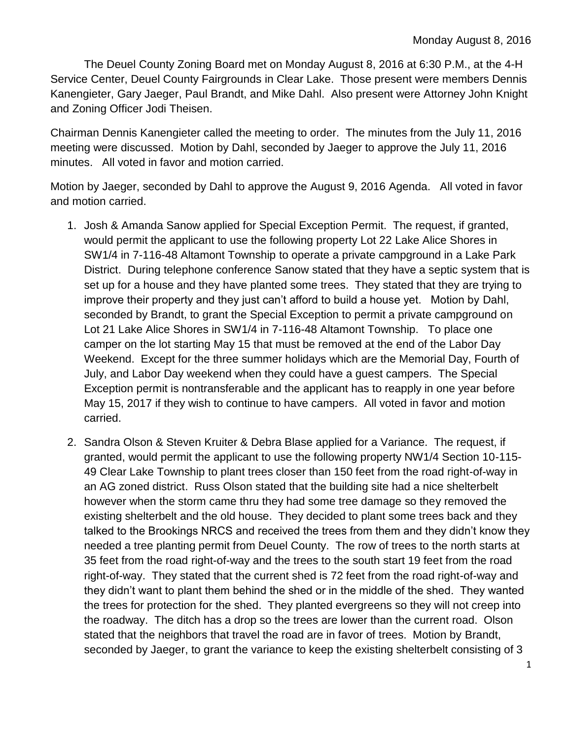The Deuel County Zoning Board met on Monday August 8, 2016 at 6:30 P.M., at the 4-H Service Center, Deuel County Fairgrounds in Clear Lake. Those present were members Dennis Kanengieter, Gary Jaeger, Paul Brandt, and Mike Dahl. Also present were Attorney John Knight and Zoning Officer Jodi Theisen.

Chairman Dennis Kanengieter called the meeting to order. The minutes from the July 11, 2016 meeting were discussed. Motion by Dahl, seconded by Jaeger to approve the July 11, 2016 minutes. All voted in favor and motion carried.

Motion by Jaeger, seconded by Dahl to approve the August 9, 2016 Agenda. All voted in favor and motion carried.

- 1. Josh & Amanda Sanow applied for Special Exception Permit. The request, if granted, would permit the applicant to use the following property Lot 22 Lake Alice Shores in SW1/4 in 7-116-48 Altamont Township to operate a private campground in a Lake Park District. During telephone conference Sanow stated that they have a septic system that is set up for a house and they have planted some trees. They stated that they are trying to improve their property and they just can't afford to build a house yet. Motion by Dahl, seconded by Brandt, to grant the Special Exception to permit a private campground on Lot 21 Lake Alice Shores in SW1/4 in 7-116-48 Altamont Township. To place one camper on the lot starting May 15 that must be removed at the end of the Labor Day Weekend. Except for the three summer holidays which are the Memorial Day, Fourth of July, and Labor Day weekend when they could have a guest campers. The Special Exception permit is nontransferable and the applicant has to reapply in one year before May 15, 2017 if they wish to continue to have campers. All voted in favor and motion carried.
- 2. Sandra Olson & Steven Kruiter & Debra Blase applied for a Variance. The request, if granted, would permit the applicant to use the following property NW1/4 Section 10-115- 49 Clear Lake Township to plant trees closer than 150 feet from the road right-of-way in an AG zoned district. Russ Olson stated that the building site had a nice shelterbelt however when the storm came thru they had some tree damage so they removed the existing shelterbelt and the old house. They decided to plant some trees back and they talked to the Brookings NRCS and received the trees from them and they didn't know they needed a tree planting permit from Deuel County. The row of trees to the north starts at 35 feet from the road right-of-way and the trees to the south start 19 feet from the road right-of-way. They stated that the current shed is 72 feet from the road right-of-way and they didn't want to plant them behind the shed or in the middle of the shed. They wanted the trees for protection for the shed. They planted evergreens so they will not creep into the roadway. The ditch has a drop so the trees are lower than the current road. Olson stated that the neighbors that travel the road are in favor of trees. Motion by Brandt, seconded by Jaeger, to grant the variance to keep the existing shelterbelt consisting of 3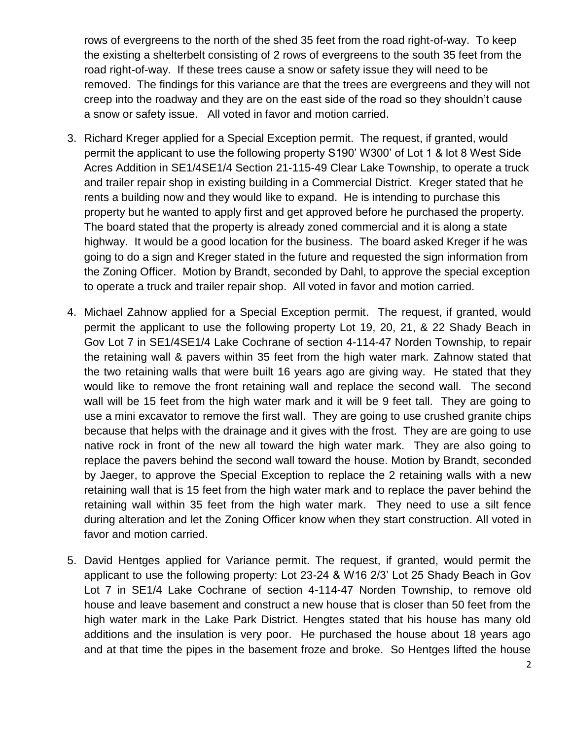rows of evergreens to the north of the shed 35 feet from the road right-of-way. To keep the existing a shelterbelt consisting of 2 rows of evergreens to the south 35 feet from the road right-of-way. If these trees cause a snow or safety issue they will need to be removed. The findings for this variance are that the trees are evergreens and they will not creep into the roadway and they are on the east side of the road so they shouldn't cause a snow or safety issue. All voted in favor and motion carried.

- 3. Richard Kreger applied for a Special Exception permit. The request, if granted, would permit the applicant to use the following property S190' W300' of Lot 1 & lot 8 West Side Acres Addition in SE1/4SE1/4 Section 21-115-49 Clear Lake Township, to operate a truck and trailer repair shop in existing building in a Commercial District. Kreger stated that he rents a building now and they would like to expand. He is intending to purchase this property but he wanted to apply first and get approved before he purchased the property. The board stated that the property is already zoned commercial and it is along a state highway. It would be a good location for the business. The board asked Kreger if he was going to do a sign and Kreger stated in the future and requested the sign information from the Zoning Officer. Motion by Brandt, seconded by Dahl, to approve the special exception to operate a truck and trailer repair shop. All voted in favor and motion carried.
- 4. Michael Zahnow applied for a Special Exception permit. The request, if granted, would permit the applicant to use the following property Lot 19, 20, 21, & 22 Shady Beach in Gov Lot 7 in SE1/4SE1/4 Lake Cochrane of section 4-114-47 Norden Township, to repair the retaining wall & pavers within 35 feet from the high water mark. Zahnow stated that the two retaining walls that were built 16 years ago are giving way. He stated that they would like to remove the front retaining wall and replace the second wall. The second wall will be 15 feet from the high water mark and it will be 9 feet tall. They are going to use a mini excavator to remove the first wall. They are going to use crushed granite chips because that helps with the drainage and it gives with the frost. They are are going to use native rock in front of the new all toward the high water mark. They are also going to replace the pavers behind the second wall toward the house. Motion by Brandt, seconded by Jaeger, to approve the Special Exception to replace the 2 retaining walls with a new retaining wall that is 15 feet from the high water mark and to replace the paver behind the retaining wall within 35 feet from the high water mark. They need to use a silt fence during alteration and let the Zoning Officer know when they start construction. All voted in favor and motion carried.
- 5. David Hentges applied for Variance permit. The request, if granted, would permit the applicant to use the following property: Lot 23-24 & W16 2/3' Lot 25 Shady Beach in Gov Lot 7 in SE1/4 Lake Cochrane of section 4-114-47 Norden Township, to remove old house and leave basement and construct a new house that is closer than 50 feet from the high water mark in the Lake Park District. Hengtes stated that his house has many old additions and the insulation is very poor. He purchased the house about 18 years ago and at that time the pipes in the basement froze and broke. So Hentges lifted the house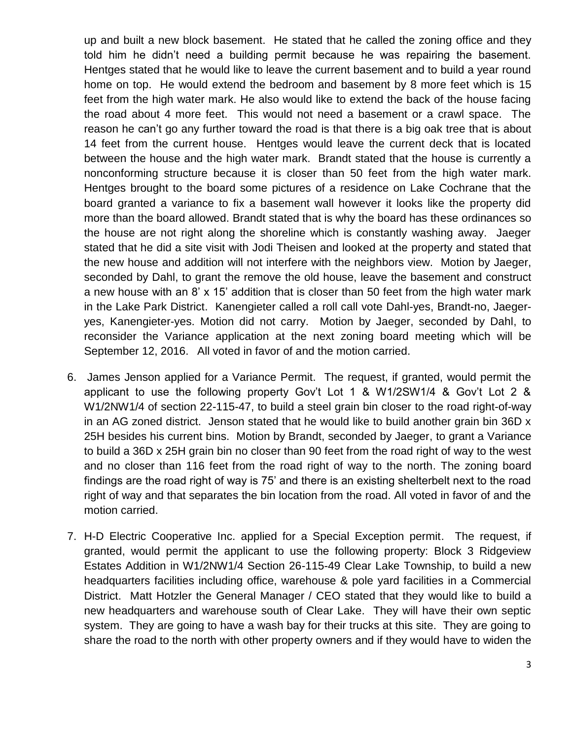up and built a new block basement. He stated that he called the zoning office and they told him he didn't need a building permit because he was repairing the basement. Hentges stated that he would like to leave the current basement and to build a year round home on top. He would extend the bedroom and basement by 8 more feet which is 15 feet from the high water mark. He also would like to extend the back of the house facing the road about 4 more feet. This would not need a basement or a crawl space. The reason he can't go any further toward the road is that there is a big oak tree that is about 14 feet from the current house. Hentges would leave the current deck that is located between the house and the high water mark. Brandt stated that the house is currently a nonconforming structure because it is closer than 50 feet from the high water mark. Hentges brought to the board some pictures of a residence on Lake Cochrane that the board granted a variance to fix a basement wall however it looks like the property did more than the board allowed. Brandt stated that is why the board has these ordinances so the house are not right along the shoreline which is constantly washing away. Jaeger stated that he did a site visit with Jodi Theisen and looked at the property and stated that the new house and addition will not interfere with the neighbors view. Motion by Jaeger, seconded by Dahl, to grant the remove the old house, leave the basement and construct a new house with an 8' x 15' addition that is closer than 50 feet from the high water mark in the Lake Park District. Kanengieter called a roll call vote Dahl-yes, Brandt-no, Jaegeryes, Kanengieter-yes. Motion did not carry. Motion by Jaeger, seconded by Dahl, to reconsider the Variance application at the next zoning board meeting which will be September 12, 2016. All voted in favor of and the motion carried.

- 6. James Jenson applied for a Variance Permit. The request, if granted, would permit the applicant to use the following property Gov't Lot 1 & W1/2SW1/4 & Gov't Lot 2 & W1/2NW1/4 of section 22-115-47, to build a steel grain bin closer to the road right-of-way in an AG zoned district. Jenson stated that he would like to build another grain bin 36D x 25H besides his current bins. Motion by Brandt, seconded by Jaeger, to grant a Variance to build a 36D x 25H grain bin no closer than 90 feet from the road right of way to the west and no closer than 116 feet from the road right of way to the north. The zoning board findings are the road right of way is 75' and there is an existing shelterbelt next to the road right of way and that separates the bin location from the road. All voted in favor of and the motion carried.
- 7. H-D Electric Cooperative Inc. applied for a Special Exception permit. The request, if granted, would permit the applicant to use the following property: Block 3 Ridgeview Estates Addition in W1/2NW1/4 Section 26-115-49 Clear Lake Township, to build a new headquarters facilities including office, warehouse & pole yard facilities in a Commercial District. Matt Hotzler the General Manager / CEO stated that they would like to build a new headquarters and warehouse south of Clear Lake. They will have their own septic system. They are going to have a wash bay for their trucks at this site. They are going to share the road to the north with other property owners and if they would have to widen the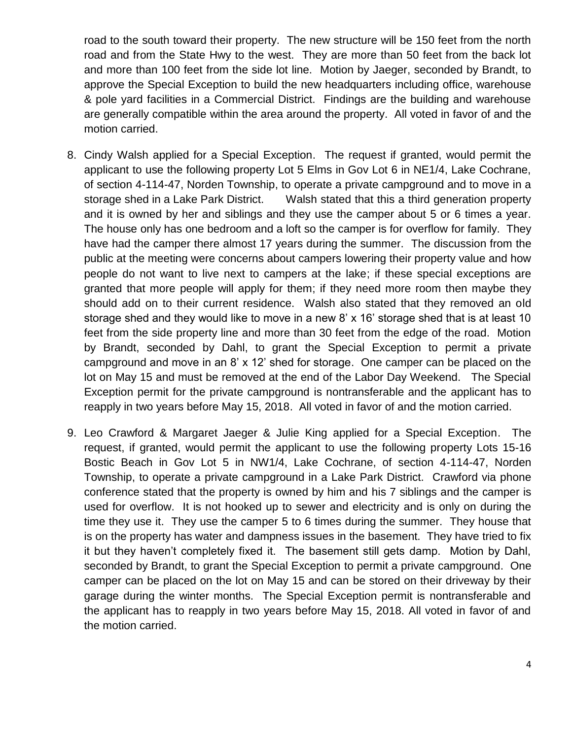road to the south toward their property. The new structure will be 150 feet from the north road and from the State Hwy to the west. They are more than 50 feet from the back lot and more than 100 feet from the side lot line. Motion by Jaeger, seconded by Brandt, to approve the Special Exception to build the new headquarters including office, warehouse & pole yard facilities in a Commercial District. Findings are the building and warehouse are generally compatible within the area around the property. All voted in favor of and the motion carried.

- 8. Cindy Walsh applied for a Special Exception. The request if granted, would permit the applicant to use the following property Lot 5 Elms in Gov Lot 6 in NE1/4, Lake Cochrane, of section 4-114-47, Norden Township, to operate a private campground and to move in a storage shed in a Lake Park District. Walsh stated that this a third generation property and it is owned by her and siblings and they use the camper about 5 or 6 times a year. The house only has one bedroom and a loft so the camper is for overflow for family. They have had the camper there almost 17 years during the summer. The discussion from the public at the meeting were concerns about campers lowering their property value and how people do not want to live next to campers at the lake; if these special exceptions are granted that more people will apply for them; if they need more room then maybe they should add on to their current residence. Walsh also stated that they removed an old storage shed and they would like to move in a new 8' x 16' storage shed that is at least 10 feet from the side property line and more than 30 feet from the edge of the road. Motion by Brandt, seconded by Dahl, to grant the Special Exception to permit a private campground and move in an 8' x 12' shed for storage. One camper can be placed on the lot on May 15 and must be removed at the end of the Labor Day Weekend. The Special Exception permit for the private campground is nontransferable and the applicant has to reapply in two years before May 15, 2018. All voted in favor of and the motion carried.
- 9. Leo Crawford & Margaret Jaeger & Julie King applied for a Special Exception. The request, if granted, would permit the applicant to use the following property Lots 15-16 Bostic Beach in Gov Lot 5 in NW1/4, Lake Cochrane, of section 4-114-47, Norden Township, to operate a private campground in a Lake Park District. Crawford via phone conference stated that the property is owned by him and his 7 siblings and the camper is used for overflow. It is not hooked up to sewer and electricity and is only on during the time they use it. They use the camper 5 to 6 times during the summer. They house that is on the property has water and dampness issues in the basement. They have tried to fix it but they haven't completely fixed it. The basement still gets damp. Motion by Dahl, seconded by Brandt, to grant the Special Exception to permit a private campground. One camper can be placed on the lot on May 15 and can be stored on their driveway by their garage during the winter months. The Special Exception permit is nontransferable and the applicant has to reapply in two years before May 15, 2018. All voted in favor of and the motion carried.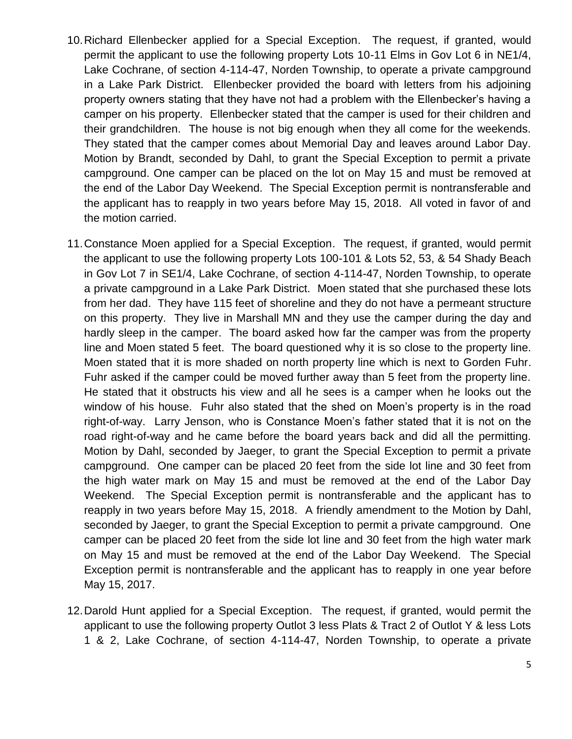- 10.Richard Ellenbecker applied for a Special Exception. The request, if granted, would permit the applicant to use the following property Lots 10-11 Elms in Gov Lot 6 in NE1/4, Lake Cochrane, of section 4-114-47, Norden Township, to operate a private campground in a Lake Park District. Ellenbecker provided the board with letters from his adjoining property owners stating that they have not had a problem with the Ellenbecker's having a camper on his property. Ellenbecker stated that the camper is used for their children and their grandchildren. The house is not big enough when they all come for the weekends. They stated that the camper comes about Memorial Day and leaves around Labor Day. Motion by Brandt, seconded by Dahl, to grant the Special Exception to permit a private campground. One camper can be placed on the lot on May 15 and must be removed at the end of the Labor Day Weekend. The Special Exception permit is nontransferable and the applicant has to reapply in two years before May 15, 2018. All voted in favor of and the motion carried.
- 11.Constance Moen applied for a Special Exception. The request, if granted, would permit the applicant to use the following property Lots 100-101 & Lots 52, 53, & 54 Shady Beach in Gov Lot 7 in SE1/4, Lake Cochrane, of section 4-114-47, Norden Township, to operate a private campground in a Lake Park District. Moen stated that she purchased these lots from her dad. They have 115 feet of shoreline and they do not have a permeant structure on this property. They live in Marshall MN and they use the camper during the day and hardly sleep in the camper. The board asked how far the camper was from the property line and Moen stated 5 feet. The board questioned why it is so close to the property line. Moen stated that it is more shaded on north property line which is next to Gorden Fuhr. Fuhr asked if the camper could be moved further away than 5 feet from the property line. He stated that it obstructs his view and all he sees is a camper when he looks out the window of his house. Fuhr also stated that the shed on Moen's property is in the road right-of-way. Larry Jenson, who is Constance Moen's father stated that it is not on the road right-of-way and he came before the board years back and did all the permitting. Motion by Dahl, seconded by Jaeger, to grant the Special Exception to permit a private campground. One camper can be placed 20 feet from the side lot line and 30 feet from the high water mark on May 15 and must be removed at the end of the Labor Day Weekend. The Special Exception permit is nontransferable and the applicant has to reapply in two years before May 15, 2018. A friendly amendment to the Motion by Dahl, seconded by Jaeger, to grant the Special Exception to permit a private campground. One camper can be placed 20 feet from the side lot line and 30 feet from the high water mark on May 15 and must be removed at the end of the Labor Day Weekend. The Special Exception permit is nontransferable and the applicant has to reapply in one year before May 15, 2017.
- 12.Darold Hunt applied for a Special Exception. The request, if granted, would permit the applicant to use the following property Outlot 3 less Plats & Tract 2 of Outlot Y & less Lots 1 & 2, Lake Cochrane, of section 4-114-47, Norden Township, to operate a private